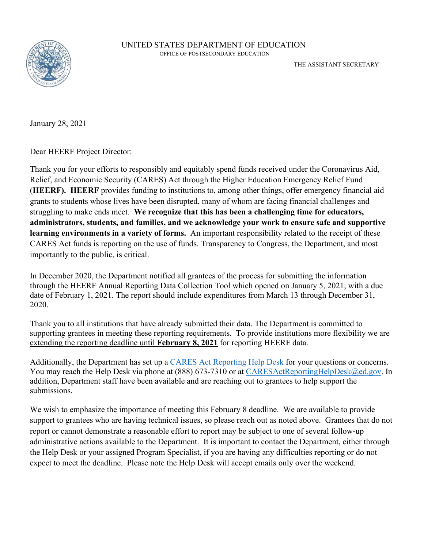

January 28, 2021

Dear HEERF Project Director:

Thank you for your efforts to responsibly and equitably spend funds received under the Coronavirus Aid, Relief, and Economic Security (CARES) Act through the Higher Education Emergency Relief Fund (**HEERF). HEERF** provides funding to institutions to, among other things, offer emergency financial aid grants to students whose lives have been disrupted, many of whom are facing financial challenges and struggling to make ends meet. **We recognize that this has been a challenging time for educators, administrators, students, and families, and we acknowledge your work to ensure safe and supportive learning environments in a variety of forms.** An important responsibility related to the receipt of these CARES Act funds is reporting on the use of funds. Transparency to Congress, the Department, and most importantly to the public, is critical.

In December 2020, the Department notified all grantees of the process for submitting the information through the HEERF Annual Reporting Data Collection Tool which opened on January 5, 2021, with a due date of February 1, 2021. The report should include expenditures from March 13 through December 31, 2020.

Thank you to all institutions that have already submitted their data. The Department is committed to supporting grantees in meeting these reporting requirements. To provide institutions more flexibility we are extending the reporting deadline until **February 8, 2021** for reporting HEERF data.

Additionally, the Department has set up a [CARES Act Reporting Help Desk](mailto:caresactreportinghelpdesk@ed.gov) for your questions or concerns. You may reach the Help Desk via phone at (888) 673-7310 or at [CARESActReportingHelpDesk@ed.gov.](mailto:CARESActReportingHelpDesk@ed.gov) In addition, Department staff have been available and are reaching out to grantees to help support the submissions.

We wish to emphasize the importance of meeting this February 8 deadline. We are available to provide support to grantees who are having technical issues, so please reach out as noted above. Grantees that do not report or cannot demonstrate a reasonable effort to report may be subject to one of several follow-up administrative actions available to the Department. It is important to contact the Department, either through the Help Desk or your assigned Program Specialist, if you are having any difficulties reporting or do not expect to meet the deadline. Please note the Help Desk will accept emails only over the weekend.